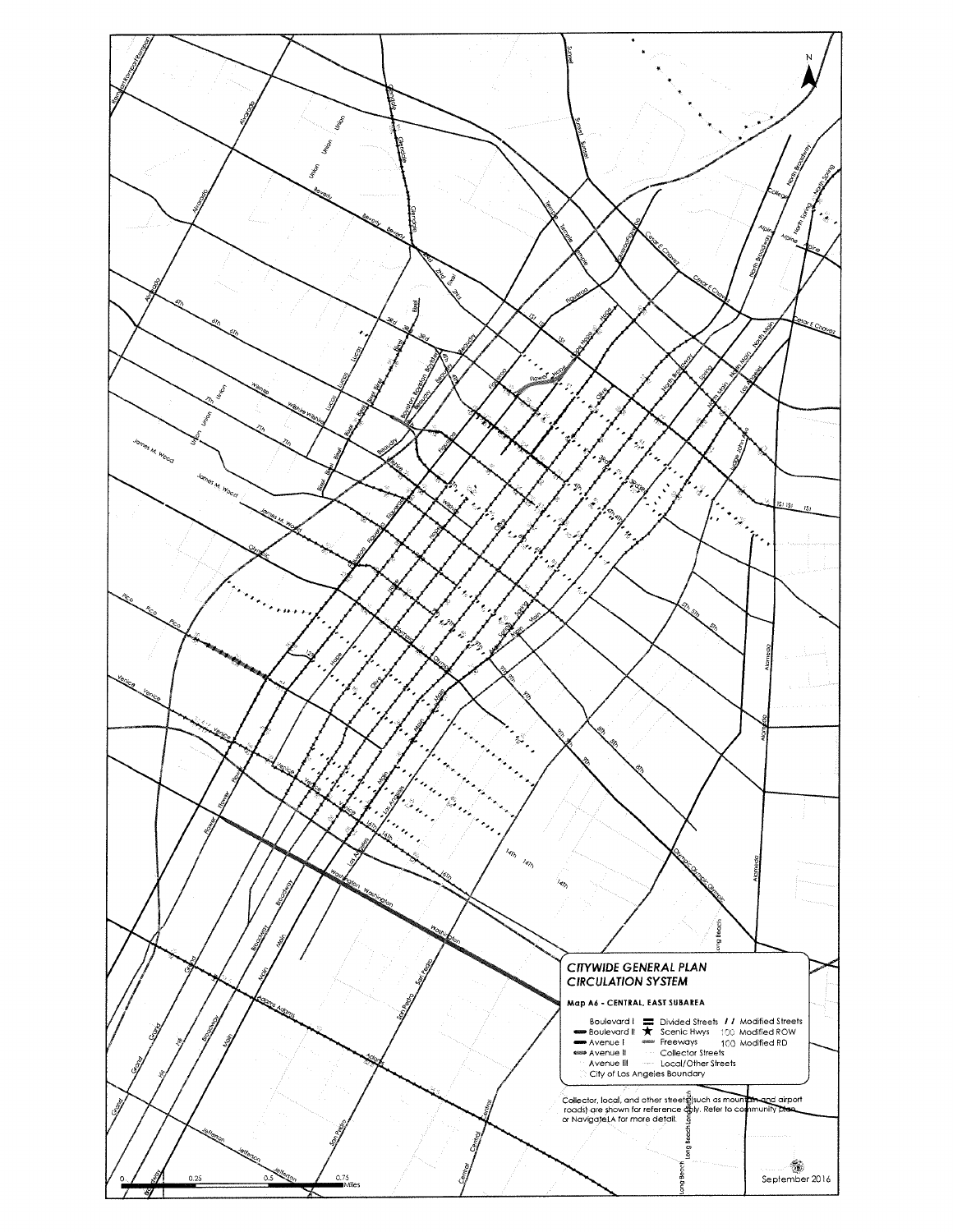